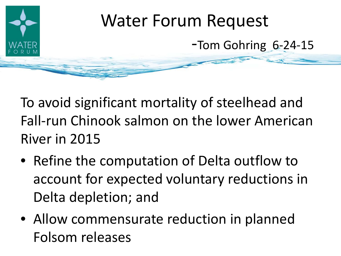

To avoid significant mortality of steelhead and Fall-run Chinook salmon on the lower American River in 2015

- Refine the computation of Delta outflow to account for expected voluntary reductions in Delta depletion; and
- Allow commensurate reduction in planned Folsom releases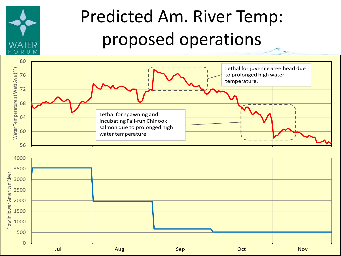

## Predicted Am. River Temp: proposed operations

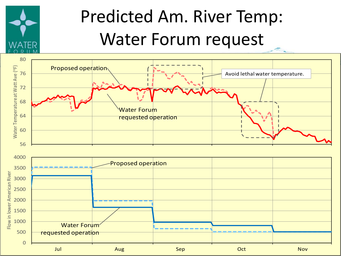

## Predicted Am. River Temp: Water Forum request